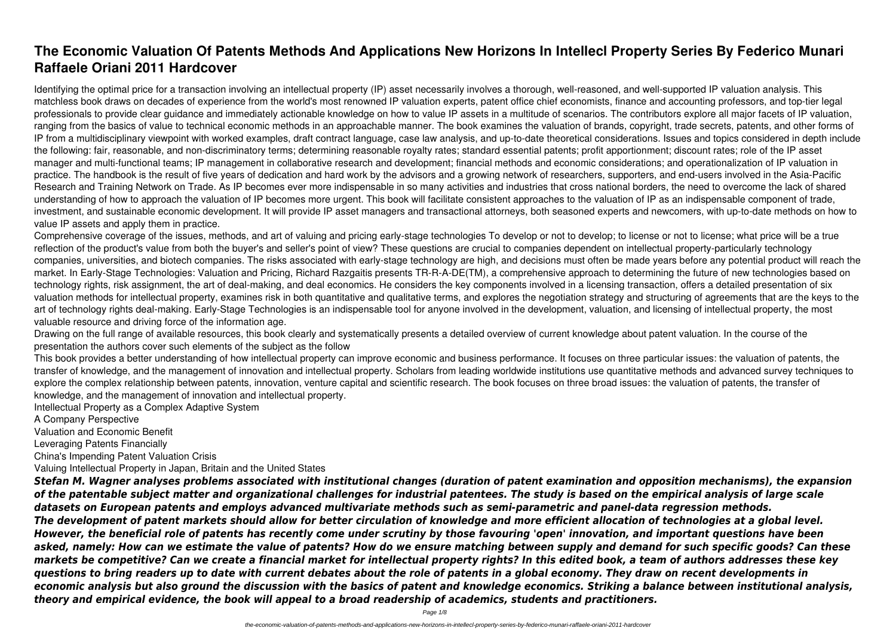# **The Economic Valuation Of Patents Methods And Applications New Horizons In Intellecl Property Series By Federico Munari Raffaele Oriani 2011 Hardcover**

Identifying the optimal price for a transaction involving an intellectual property (IP) asset necessarily involves a thorough, well-reasoned, and well-supported IP valuation analysis. This matchless book draws on decades of experience from the world's most renowned IP valuation experts, patent office chief economists, finance and accounting professors, and top-tier legal professionals to provide clear guidance and immediately actionable knowledge on how to value IP assets in a multitude of scenarios. The contributors explore all major facets of IP valuation, ranging from the basics of value to technical economic methods in an approachable manner. The book examines the valuation of brands, copyright, trade secrets, patents, and other forms of IP from a multidisciplinary viewpoint with worked examples, draft contract language, case law analysis, and up-to-date theoretical considerations. Issues and topics considered in depth include the following: fair, reasonable, and non-discriminatory terms; determining reasonable royalty rates; standard essential patents; profit apportionment; discount rates; role of the IP asset manager and multi-functional teams; IP management in collaborative research and development; financial methods and economic considerations; and operationalization of IP valuation in practice. The handbook is the result of five years of dedication and hard work by the advisors and a growing network of researchers, supporters, and end-users involved in the Asia-Pacific Research and Training Network on Trade. As IP becomes ever more indispensable in so many activities and industries that cross national borders, the need to overcome the lack of shared understanding of how to approach the valuation of IP becomes more urgent. This book will facilitate consistent approaches to the valuation of IP as an indispensable component of trade, investment, and sustainable economic development. It will provide IP asset managers and transactional attorneys, both seasoned experts and newcomers, with up-to-date methods on how to value IP assets and apply them in practice.

Comprehensive coverage of the issues, methods, and art of valuing and pricing early-stage technologies To develop or not to develop; to license or not to license; what price will be a true reflection of the product's value from both the buyer's and seller's point of view? These questions are crucial to companies dependent on intellectual property-particularly technology companies, universities, and biotech companies. The risks associated with early-stage technology are high, and decisions must often be made years before any potential product will reach the market. In Early-Stage Technologies: Valuation and Pricing, Richard Razgaitis presents TR-R-A-DE(TM), a comprehensive approach to determining the future of new technologies based on technology rights, risk assignment, the art of deal-making, and deal economics. He considers the key components involved in a licensing transaction, offers a detailed presentation of six valuation methods for intellectual property, examines risk in both quantitative and qualitative terms, and explores the negotiation strategy and structuring of agreements that are the keys to the art of technology rights deal-making. Early-Stage Technologies is an indispensable tool for anyone involved in the development, valuation, and licensing of intellectual property, the most valuable resource and driving force of the information age.

Drawing on the full range of available resources, this book clearly and systematically presents a detailed overview of current knowledge about patent valuation. In the course of the presentation the authors cover such elements of the subject as the follow

This book provides a better understanding of how intellectual property can improve economic and business performance. It focuses on three particular issues: the valuation of patents, the transfer of knowledge, and the management of innovation and intellectual property. Scholars from leading worldwide institutions use quantitative methods and advanced survey techniques to explore the complex relationship between patents, innovation, venture capital and scientific research. The book focuses on three broad issues: the valuation of patents, the transfer of knowledge, and the management of innovation and intellectual property.

Intellectual Property as a Complex Adaptive System

A Company Perspective

Valuation and Economic Benefit

Leveraging Patents Financially

China's Impending Patent Valuation Crisis

Valuing Intellectual Property in Japan, Britain and the United States

*Stefan M. Wagner analyses problems associated with institutional changes (duration of patent examination and opposition mechanisms), the expansion of the patentable subject matter and organizational challenges for industrial patentees. The study is based on the empirical analysis of large scale datasets on European patents and employs advanced multivariate methods such as semi-parametric and panel-data regression methods. The development of patent markets should allow for better circulation of knowledge and more efficient allocation of technologies at a global level. However, the beneficial role of patents has recently come under scrutiny by those favouring 'open' innovation, and important questions have been asked, namely: How can we estimate the value of patents? How do we ensure matching between supply and demand for such specific goods? Can these markets be competitive? Can we create a financial market for intellectual property rights? In this edited book, a team of authors addresses these key questions to bring readers up to date with current debates about the role of patents in a global economy. They draw on recent developments in economic analysis but also ground the discussion with the basics of patent and knowledge economics. Striking a balance between institutional analysis, theory and empirical evidence, the book will appeal to a broad readership of academics, students and practitioners.*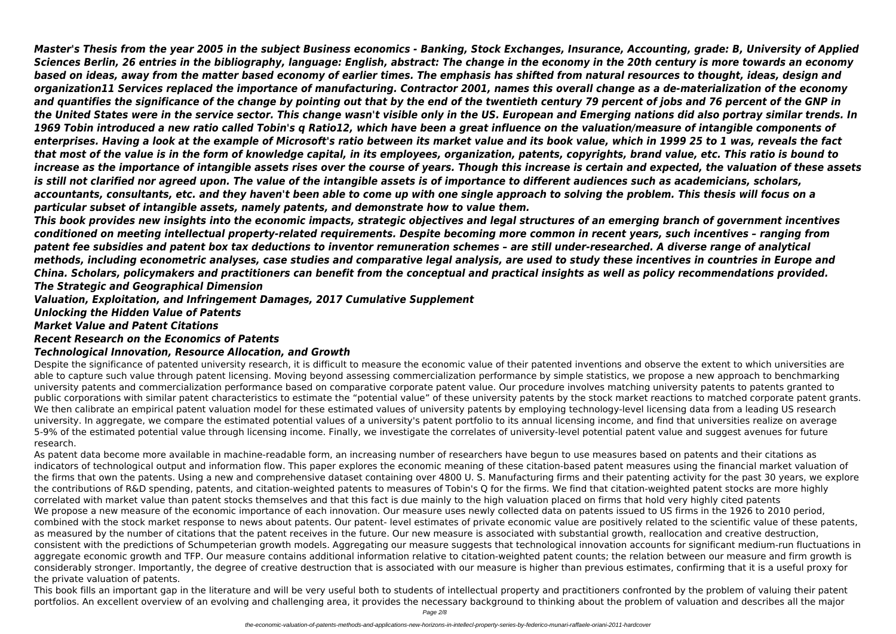*Master's Thesis from the year 2005 in the subject Business economics - Banking, Stock Exchanges, Insurance, Accounting, grade: B, University of Applied Sciences Berlin, 26 entries in the bibliography, language: English, abstract: The change in the economy in the 20th century is more towards an economy based on ideas, away from the matter based economy of earlier times. The emphasis has shifted from natural resources to thought, ideas, design and organization11 Services replaced the importance of manufacturing. Contractor 2001, names this overall change as a de-materialization of the economy and quantifies the significance of the change by pointing out that by the end of the twentieth century 79 percent of jobs and 76 percent of the GNP in the United States were in the service sector. This change wasn't visible only in the US. European and Emerging nations did also portray similar trends. In 1969 Tobin introduced a new ratio called Tobin's q Ratio12, which have been a great influence on the valuation/measure of intangible components of enterprises. Having a look at the example of Microsoft's ratio between its market value and its book value, which in 1999 25 to 1 was, reveals the fact that most of the value is in the form of knowledge capital, in its employees, organization, patents, copyrights, brand value, etc. This ratio is bound to increase as the importance of intangible assets rises over the course of years. Though this increase is certain and expected, the valuation of these assets is still not clarified nor agreed upon. The value of the intangible assets is of importance to different audiences such as academicians, scholars, accountants, consultants, etc. and they haven't been able to come up with one single approach to solving the problem. This thesis will focus on a particular subset of intangible assets, namely patents, and demonstrate how to value them.*

*This book provides new insights into the economic impacts, strategic objectives and legal structures of an emerging branch of government incentives conditioned on meeting intellectual property-related requirements. Despite becoming more common in recent years, such incentives – ranging from patent fee subsidies and patent box tax deductions to inventor remuneration schemes – are still under-researched. A diverse range of analytical methods, including econometric analyses, case studies and comparative legal analysis, are used to study these incentives in countries in Europe and China. Scholars, policymakers and practitioners can benefit from the conceptual and practical insights as well as policy recommendations provided. The Strategic and Geographical Dimension*

*Valuation, Exploitation, and Infringement Damages, 2017 Cumulative Supplement*

*Unlocking the Hidden Value of Patents*

# *Market Value and Patent Citations*

# *Recent Research on the Economics of Patents*

# *Technological Innovation, Resource Allocation, and Growth*

Despite the significance of patented university research, it is difficult to measure the economic value of their patented inventions and observe the extent to which universities are able to capture such value through patent licensing. Moving beyond assessing commercialization performance by simple statistics, we propose a new approach to benchmarking university patents and commercialization performance based on comparative corporate patent value. Our procedure involves matching university patents to patents granted to public corporations with similar patent characteristics to estimate the "potential value" of these university patents by the stock market reactions to matched corporate patent grants. We then calibrate an empirical patent valuation model for these estimated values of university patents by employing technology-level licensing data from a leading US research university. In aggregate, we compare the estimated potential values of a university's patent portfolio to its annual licensing income, and find that universities realize on average 5-9% of the estimated potential value through licensing income. Finally, we investigate the correlates of university-level potential patent value and suggest avenues for future research.

As patent data become more available in machine-readable form, an increasing number of researchers have begun to use measures based on patents and their citations as indicators of technological output and information flow. This paper explores the economic meaning of these citation-based patent measures using the financial market valuation of the firms that own the patents. Using a new and comprehensive dataset containing over 4800 U. S. Manufacturing firms and their patenting activity for the past 30 years, we explore the contributions of R&D spending, patents, and citation-weighted patents to measures of Tobin's Q for the firms. We find that citation-weighted patent stocks are more highly correlated with market value than patent stocks themselves and that this fact is due mainly to the high valuation placed on firms that hold very highly cited patents We propose a new measure of the economic importance of each innovation. Our measure uses newly collected data on patents issued to US firms in the 1926 to 2010 period, combined with the stock market response to news about patents. Our patent- level estimates of private economic value are positively related to the scientific value of these patents, as measured by the number of citations that the patent receives in the future. Our new measure is associated with substantial growth, reallocation and creative destruction, consistent with the predictions of Schumpeterian growth models. Aggregating our measure suggests that technological innovation accounts for significant medium-run fluctuations in aggregate economic growth and TFP. Our measure contains additional information relative to citation-weighted patent counts; the relation between our measure and firm growth is considerably stronger. Importantly, the degree of creative destruction that is associated with our measure is higher than previous estimates, confirming that it is a useful proxy for the private valuation of patents.

This book fills an important gap in the literature and will be very useful both to students of intellectual property and practitioners confronted by the problem of valuing their patent portfolios. An excellent overview of an evolving and challenging area, it provides the necessary background to thinking about the problem of valuation and describes all the major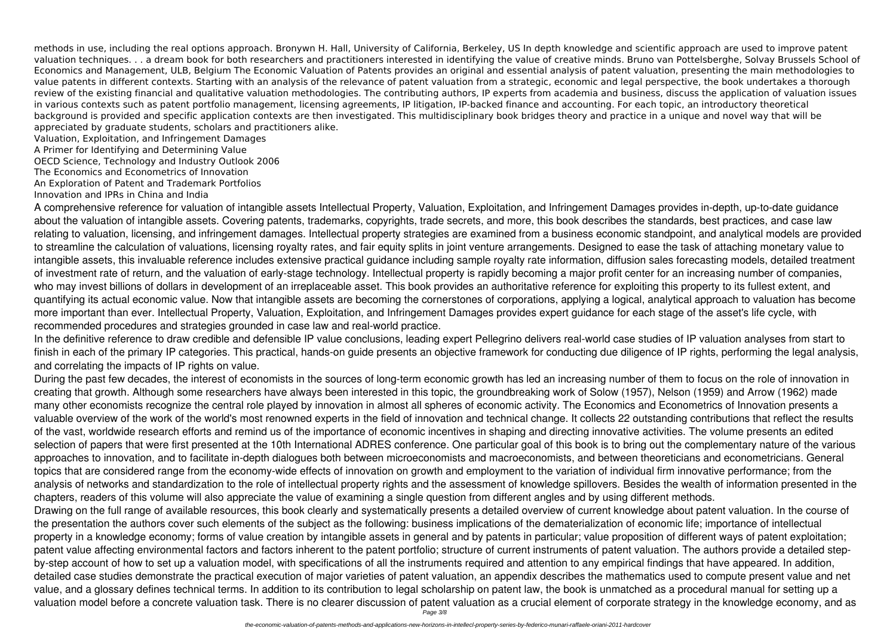methods in use, including the real options approach. Bronywn H. Hall, University of California, Berkeley, US In depth knowledge and scientific approach are used to improve patent valuation techniques. . . a dream book for both researchers and practitioners interested in identifying the value of creative minds. Bruno van Pottelsberghe, Solvay Brussels School of Economics and Management, ULB, Belgium The Economic Valuation of Patents provides an original and essential analysis of patent valuation, presenting the main methodologies to value patents in different contexts. Starting with an analysis of the relevance of patent valuation from a strategic, economic and legal perspective, the book undertakes a thorough review of the existing financial and qualitative valuation methodologies. The contributing authors, IP experts from academia and business, discuss the application of valuation issues in various contexts such as patent portfolio management, licensing agreements, IP litigation, IP-backed finance and accounting. For each topic, an introductory theoretical background is provided and specific application contexts are then investigated. This multidisciplinary book bridges theory and practice in a unique and novel way that will be appreciated by graduate students, scholars and practitioners alike.

Valuation, Exploitation, and Infringement Damages

A Primer for Identifying and Determining Value

OECD Science, Technology and Industry Outlook 2006

The Economics and Econometrics of Innovation

An Exploration of Patent and Trademark Portfolios

Innovation and IPRs in China and India

A comprehensive reference for valuation of intangible assets Intellectual Property, Valuation, Exploitation, and Infringement Damages provides in-depth, up-to-date guidance about the valuation of intangible assets. Covering patents, trademarks, copyrights, trade secrets, and more, this book describes the standards, best practices, and case law relating to valuation, licensing, and infringement damages. Intellectual property strategies are examined from a business economic standpoint, and analytical models are provided to streamline the calculation of valuations, licensing royalty rates, and fair equity splits in joint venture arrangements. Designed to ease the task of attaching monetary value to intangible assets, this invaluable reference includes extensive practical guidance including sample royalty rate information, diffusion sales forecasting models, detailed treatment of investment rate of return, and the valuation of early-stage technology. Intellectual property is rapidly becoming a major profit center for an increasing number of companies, who may invest billions of dollars in development of an irreplaceable asset. This book provides an authoritative reference for exploiting this property to its fullest extent, and quantifying its actual economic value. Now that intangible assets are becoming the cornerstones of corporations, applying a logical, analytical approach to valuation has become more important than ever. Intellectual Property, Valuation, Exploitation, and Infringement Damages provides expert guidance for each stage of the asset's life cycle, with recommended procedures and strategies grounded in case law and real-world practice.

In the definitive reference to draw credible and defensible IP value conclusions, leading expert Pellegrino delivers real-world case studies of IP valuation analyses from start to finish in each of the primary IP categories. This practical, hands-on guide presents an objective framework for conducting due diligence of IP rights, performing the legal analysis, and correlating the impacts of IP rights on value.

During the past few decades, the interest of economists in the sources of long-term economic growth has led an increasing number of them to focus on the role of innovation in creating that growth. Although some researchers have always been interested in this topic, the groundbreaking work of Solow (1957), Nelson (1959) and Arrow (1962) made many other economists recognize the central role played by innovation in almost all spheres of economic activity. The Economics and Econometrics of Innovation presents a valuable overview of the work of the world's most renowned experts in the field of innovation and technical change. It collects 22 outstanding contributions that reflect the results of the vast, worldwide research efforts and remind us of the importance of economic incentives in shaping and directing innovative activities. The volume presents an edited selection of papers that were first presented at the 10th International ADRES conference. One particular goal of this book is to bring out the complementary nature of the various approaches to innovation, and to facilitate in-depth dialogues both between microeconomists and macroeconomists, and between theoreticians and econometricians. General topics that are considered range from the economy-wide effects of innovation on growth and employment to the variation of individual firm innovative performance; from the analysis of networks and standardization to the role of intellectual property rights and the assessment of knowledge spillovers. Besides the wealth of information presented in the chapters, readers of this volume will also appreciate the value of examining a single question from different angles and by using different methods. Drawing on the full range of available resources, this book clearly and systematically presents a detailed overview of current knowledge about patent valuation. In the course of the presentation the authors cover such elements of the subject as the following: business implications of the dematerialization of economic life; importance of intellectual property in a knowledge economy; forms of value creation by intangible assets in general and by patents in particular; value proposition of different ways of patent exploitation; patent value affecting environmental factors and factors inherent to the patent portfolio; structure of current instruments of patent valuation. The authors provide a detailed stepby-step account of how to set up a valuation model, with specifications of all the instruments required and attention to any empirical findings that have appeared. In addition, detailed case studies demonstrate the practical execution of major varieties of patent valuation, an appendix describes the mathematics used to compute present value and net value, and a glossary defines technical terms. In addition to its contribution to legal scholarship on patent law, the book is unmatched as a procedural manual for setting up a valuation model before a concrete valuation task. There is no clearer discussion of patent valuation as a crucial element of corporate strategy in the knowledge economy, and as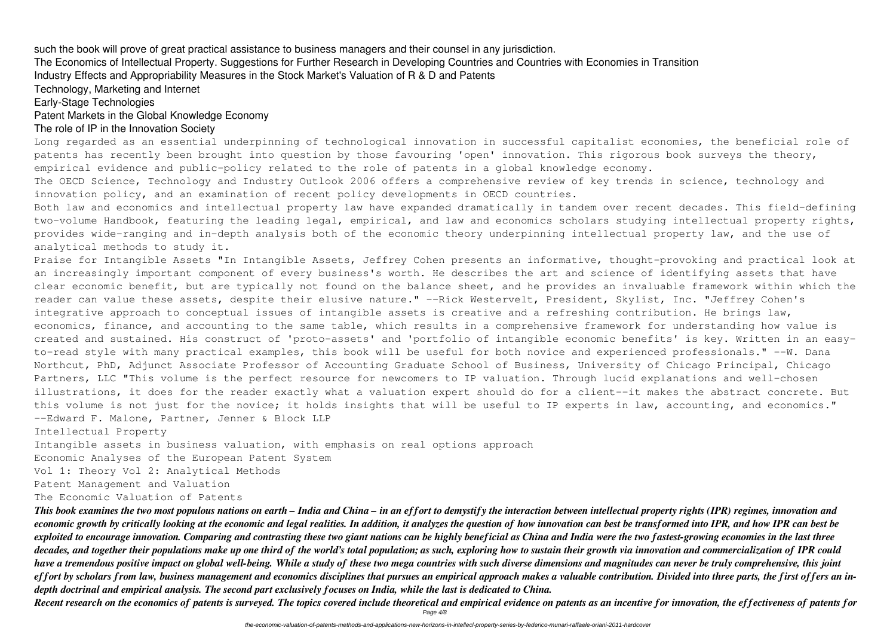such the book will prove of great practical assistance to business managers and their counsel in any jurisdiction.

The Economics of Intellectual Property. Suggestions for Further Research in Developing Countries and Countries with Economies in Transition Industry Effects and Appropriability Measures in the Stock Market's Valuation of R & D and Patents

Technology, Marketing and Internet

Early-Stage Technologies

# Patent Markets in the Global Knowledge Economy

#### The role of IP in the Innovation Society

Long regarded as an essential underpinning of technological innovation in successful capitalist economies, the beneficial role of empirical evidence and public-policy related to the role of patents in a global knowledge economy.

innovation policy, and an examination of recent policy developments in OECD countries.

analytical methods to study it.

patents has recently been brought into question by those favouring 'open' innovation. This rigorous book surveys the theory, The OECD Science, Technology and Industry Outlook 2006 offers a comprehensive review of key trends in science, technology and Both law and economics and intellectual property law have expanded dramatically in tandem over recent decades. This field-defining two-volume Handbook, featuring the leading legal, empirical, and law and economics scholars studying intellectual property rights, provides wide-ranging and in-depth analysis both of the economic theory underpinning intellectual property law, and the use of Praise for Intangible Assets "In Intangible Assets, Jeffrey Cohen presents an informative, thought-provoking and practical look at an increasingly important component of every business's worth. He describes the art and science of identifying assets that have clear economic benefit, but are typically not found on the balance sheet, and he provides an invaluable framework within which the reader can value these assets, despite their elusive nature." --Rick Westervelt, President, Skylist, Inc. "Jeffrey Cohen's integrative approach to conceptual issues of intangible assets is creative and a refreshing contribution. He brings law, economics, finance, and accounting to the same table, which results in a comprehensive framework for understanding how value is created and sustained. His construct of 'proto-assets' and 'portfolio of intangible economic benefits' is key. Written in an easyto-read style with many practical examples, this book will be useful for both novice and experienced professionals." --W. Dana Northcut, PhD, Adjunct Associate Professor of Accounting Graduate School of Business, University of Chicago Principal, Chicago Partners, LLC "This volume is the perfect resource for newcomers to IP valuation. Through lucid explanations and well-chosen illustrations, it does for the reader exactly what a valuation expert should do for a client--it makes the abstract concrete. But this volume is not just for the novice; it holds insights that will be useful to IP experts in law, accounting, and economics." --Edward F. Malone, Partner, Jenner & Block LLP

Intellectual Property

Intangible assets in business valuation, with emphasis on real options approach

Economic Analyses of the European Patent System

Vol 1: Theory Vol 2: Analytical Methods

Patent Management and Valuation

The Economic Valuation of Patents

*This book examines the two most populous nations on earth – India and China – in an effort to demystify the interaction between intellectual property rights (IPR) regimes, innovation and economic growth by critically looking at the economic and legal realities. In addition, it analyzes the question of how innovation can best be transformed into IPR, and how IPR can best be exploited to encourage innovation. Comparing and contrasting these two giant nations can be highly beneficial as China and India were the two fastest-growing economies in the last three decades, and together their populations make up one third of the world's total population; as such, exploring how to sustain their growth via innovation and commercialization of IPR could have a tremendous positive impact on global well-being. While a study of these two mega countries with such diverse dimensions and magnitudes can never be truly comprehensive, this joint effort by scholars from law, business management and economics disciplines that pursues an empirical approach makes a valuable contribution. Divided into three parts, the first offers an indepth doctrinal and empirical analysis. The second part exclusively focuses on India, while the last is dedicated to China.*

*Recent research on the economics of patents is surveyed. The topics covered include theoretical and empirical evidence on patents as an incentive for innovation, the effectiveness of patents for* Page 4/8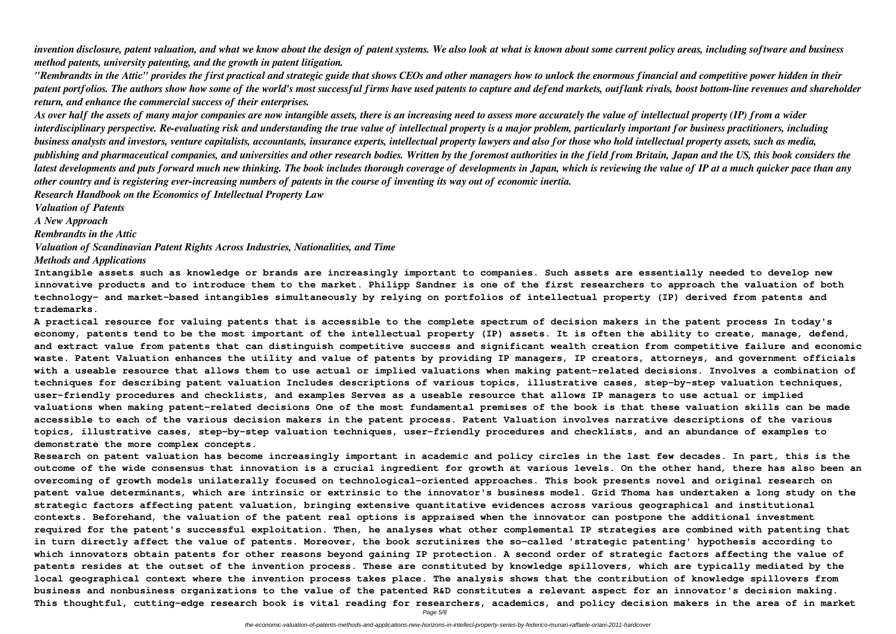*invention disclosure, patent valuation, and what we know about the design of patent systems. We also look at what is known about some current policy areas, including software and business method patents, university patenting, and the growth in patent litigation.*

*"Rembrandts in the Attic" provides the first practical and strategic guide that shows CEOs and other managers how to unlock the enormous financial and competitive power hidden in their patent portfolios. The authors show how some of the world's most successful firms have used patents to capture and defend markets, outflank rivals, boost bottom-line revenues and shareholder return, and enhance the commercial success of their enterprises.*

*As over half the assets of many major companies are now intangible assets, there is an increasing need to assess more accurately the value of intellectual property (IP) from a wider interdisciplinary perspective. Re-evaluating risk and understanding the true value of intellectual property is a major problem, particularly important for business practitioners, including business analysts and investors, venture capitalists, accountants, insurance experts, intellectual property lawyers and also for those who hold intellectual property assets, such as media, publishing and pharmaceutical companies, and universities and other research bodies. Written by the foremost authorities in the field from Britain, Japan and the US, this book considers the latest developments and puts forward much new thinking. The book includes thorough coverage of developments in Japan, which is reviewing the value of IP at a much quicker pace than any other country and is registering ever-increasing numbers of patents in the course of inventing its way out of economic inertia.*

*Research Handbook on the Economics of Intellectual Property Law*

*Valuation of Patents*

*A New Approach*

*Rembrandts in the Attic*

*Valuation of Scandinavian Patent Rights Across Industries, Nationalities, and Time Methods and Applications*

**Intangible assets such as knowledge or brands are increasingly important to companies. Such assets are essentially needed to develop new innovative products and to introduce them to the market. Philipp Sandner is one of the first researchers to approach the valuation of both technology- and market-based intangibles simultaneously by relying on portfolios of intellectual property (IP) derived from patents and trademarks.**

**A practical resource for valuing patents that is accessible to the complete spectrum of decision makers in the patent process In today's economy, patents tend to be the most important of the intellectual property (IP) assets. It is often the ability to create, manage, defend, and extract value from patents that can distinguish competitive success and significant wealth creation from competitive failure and economic waste. Patent Valuation enhances the utility and value of patents by providing IP managers, IP creators, attorneys, and government officials with a useable resource that allows them to use actual or implied valuations when making patent-related decisions. Involves a combination of techniques for describing patent valuation Includes descriptions of various topics, illustrative cases, step-by-step valuation techniques, user-friendly procedures and checklists, and examples Serves as a useable resource that allows IP managers to use actual or implied valuations when making patent-related decisions One of the most fundamental premises of the book is that these valuation skills can be made accessible to each of the various decision makers in the patent process. Patent Valuation involves narrative descriptions of the various topics, illustrative cases, step-by-step valuation techniques, user-friendly procedures and checklists, and an abundance of examples to demonstrate the more complex concepts.**

**Research on patent valuation has become increasingly important in academic and policy circles in the last few decades. In part, this is the outcome of the wide consensus that innovation is a crucial ingredient for growth at various levels. On the other hand, there has also been an overcoming of growth models unilaterally focused on technological-oriented approaches. This book presents novel and original research on patent value determinants, which are intrinsic or extrinsic to the innovator's business model. Grid Thoma has undertaken a long study on the strategic factors affecting patent valuation, bringing extensive quantitative evidences across various geographical and institutional contexts. Beforehand, the valuation of the patent real options is appraised when the innovator can postpone the additional investment required for the patent's successful exploitation. Then, he analyses what other complemental IP strategies are combined with patenting that in turn directly affect the value of patents. Moreover, the book scrutinizes the so-called 'strategic patenting' hypothesis according to which innovators obtain patents for other reasons beyond gaining IP protection. A second order of strategic factors affecting the value of patents resides at the outset of the invention process. These are constituted by knowledge spillovers, which are typically mediated by the local geographical context where the invention process takes place. The analysis shows that the contribution of knowledge spillovers from business and nonbusiness organizations to the value of the patented R&D constitutes a relevant aspect for an innovator's decision making. This thoughtful, cutting-edge research book is vital reading for researchers, academics, and policy decision makers in the area of in market**

Page 5/8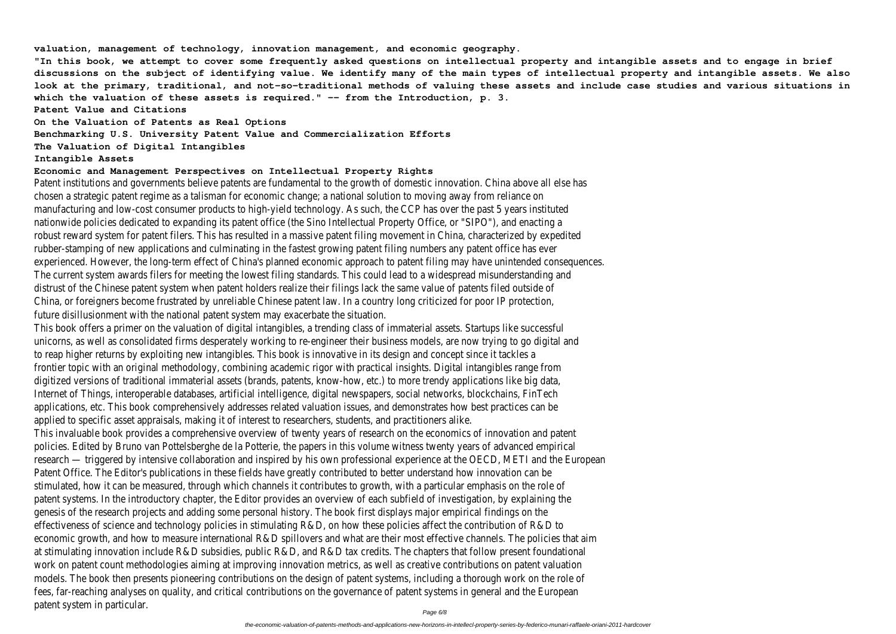**valuation, management of technology, innovation management, and economic geography.**

**"In this book, we attempt to cover some frequently asked questions on intellectual property and intangible assets and to engage in brief discussions on the subject of identifying value. We identify many of the main types of intellectual property and intangible assets. We also look at the primary, traditional, and not-so-traditional methods of valuing these assets and include case studies and various situations in** which the valuation of these assets is required." -- from the Introduction, p. 3.

**Patent Value and Citations**

**On the Valuation of Patents as Real Options**

**Benchmarking U.S. University Patent Value and Commercialization Efforts**

**The Valuation of Digital Intangibles**

#### **Intangible Assets**

#### **Economic and Management Perspectives on Intellectual Property Rights**

Patent institutions and governments believe patents are fundamental to the growth of domestic innovation. China above all else has chosen a strategic patent regime as a talisman for economic change; a national solution to moving away from reliance on manufacturing and low-cost consumer products to high-yield technology. As such, the CCP has over the past 5 years instituted nationwide policies dedicated to expanding its patent office (the Sino Intellectual Property Office, or "SIPO"), and enacting a robust reward system for patent filers. This has resulted in a massive patent filing movement in China, characterized by expedited rubber-stamping of new applications and culminating in the fastest growing patent filing numbers any patent office has ever experienced. However, the long-term effect of China's planned economic approach to patent filing may have unintended consequences. The current system awards filers for meeting the lowest filing standards. This could lead to a widespread misunderstanding and distrust of the Chinese patent system when patent holders realize their filings lack the same value of patents filed outside of China, or foreigners become frustrated by unreliable Chinese patent law. In a country long criticized for poor IP protection, future disillusionment with the national patent system may exacerbate the situation.

This book offers a primer on the valuation of digital intangibles, a trending class of immaterial assets. Startups like successful unicorns, as well as consolidated firms desperately working to re-engineer their business models, are now trying to go digital and to reap higher returns by exploiting new intangibles. This book is innovative in its design and concept since it tackles a frontier topic with an original methodology, combining academic rigor with practical insights. Digital intangibles range from digitized versions of traditional immaterial assets (brands, patents, know-how, etc.) to more trendy applications like big data, Internet of Things, interoperable databases, artificial intelligence, digital newspapers, social networks, blockchains, FinTech applications, etc. This book comprehensively addresses related valuation issues, and demonstrates how best practices can be applied to specific asset appraisals, making it of interest to researchers, students, and practitioners alike.

This invaluable book provides a comprehensive overview of twenty years of research on the economics of innovation and patent policies. Edited by Bruno van Pottelsberghe de la Potterie, the papers in this volume witness twenty years of advanced empirical research — triggered by intensive collaboration and inspired by his own professional experience at the OECD, METI and the European Patent Office. The Editor's publications in these fields have greatly contributed to better understand how innovation can be stimulated, how it can be measured, through which channels it contributes to growth, with a particular emphasis on the role of patent systems. In the introductory chapter, the Editor provides an overview of each subfield of investigation, by explaining the genesis of the research projects and adding some personal history. The book first displays major empirical findings on the effectiveness of science and technology policies in stimulating R&D, on how these policies affect the contribution of R&D to economic growth, and how to measure international R&D spillovers and what are their most effective channels. The policies that aim at stimulating innovation include R&D subsidies, public R&D, and R&D tax credits. The chapters that follow present foundational work on patent count methodologies aiming at improving innovation metrics, as well as creative contributions on patent valuation models. The book then presents pioneering contributions on the design of patent systems, including a thorough work on the role of fees, far-reaching analyses on quality, and critical contributions on the governance of patent systems in general and the European patent system in particular.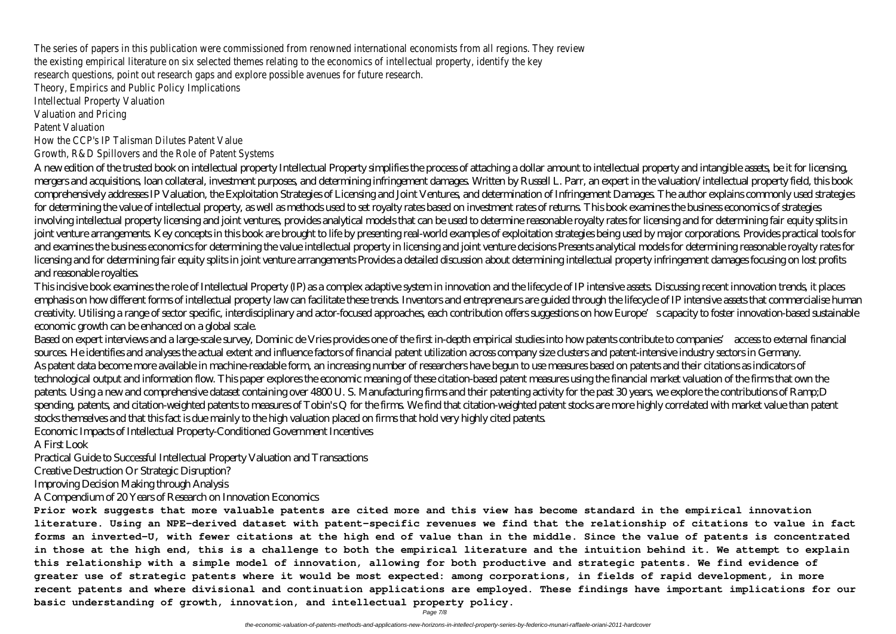The series of papers in this publication were commissioned from renowned international economists from all regions. They review the existing empirical literature on six selected themes relating to the economics of intellectual property, identify the key research questions, point out research gaps and explore possible avenues for future research.

Theory, Empirics and Public Policy Implications

Intellectual Property Valuation

Valuation and Pricing

Patent Valuation

How the CCP's IP Talisman Dilutes Patent Value

Growth, R&D Spillovers and the Role of Patent Systems

A new edition of the trusted book on intellectual property Intellectual Property simplifies the process of attaching a dollar amount to intellectual property and intangible assets, be it for licensing, mergers and acquisitions, loan collateral, investment purposes, and determining infringement damages. Written by Russell L. Parr, an expert in the valuation/intellectual property field, this book comprehensively addresses IP Valuation, the Exploitation Strategies of Licensing and Joint Ventures, and determination of Infringement Damages. The author explains commonly used strategies for determining the value of intellectual property, as well as methods used to set royalty rates based on investment rates of returns. This book examines the business economics of strategies involving intellectual property licensing and joint ventures, provides analytical models that can be used to determine reasonable royalty rates for licensing and for determining fair equity splits in joint venture arrangements. Key concepts in this book are brought to life by presenting real-world examples of exploitation strategies being used by major corporations. Provides practical tools for and examines the business economics for determining the value intellectual property in licensing and joint venture decisions Presents analytical models for determining reasonable royalty rates for licensing and for determining fair equity splits in joint venture arrangements Provides a detailed discussion about determining intellectual property infringement damages focusing on lost profits and reasonable royalties.

This incisive book examines the role of Intellectual Property (IP) as a complex adaptive system in innovation and the lifecycle of IP intensive assets. Discussing recent innovation trends, it places emphasis on how different forms of intellectual property law can facilitate these trends. Inventors and entrepreneurs are guided through the lifecycle of IP intensive assets that commercialise human creativity. Utilising a range of sector specific, interdisciplinary and actor-focused approaches, each contribution offers suggestions on how Europe's capacity to foster innovation-based sustainable economic growth can be enhanced on a global scale.

Based on expert interviews and a large-scale survey, Dominic de Vries provides one of the first in-depth empirical studies into how patents contribute to companies' access to external financial sources. He identifies and analyses the actual extent and influence factors of financial patent utilization across company size clusters and patent-intensive industry sectors in Germany. As patent data become more available in machine-readable form, an increasing number of researchers have begun to use measures based on patents and their citations as indicators of technological output and information flow. This paper explores the economic meaning of these citation-based patent measures using the financial market valuation of the firms that own the patents. Using a new and comprehensive dataset containing over 4800 U. S. Manufacturing firms and their patenting activity for the past 30 years, we explore the contributions of Ramp;D spending, patents, and citation-weighted patents to measures of Tobin's Q for the firms. We find that citation-weighted patent stocks are more highly correlated with market value than patent stocks themselves and that this fact is due mainly to the high valuation placed on firms that hold very highly cited patents.

Economic Impacts of Intellectual Property-Conditioned Government Incentives

A First Look

Practical Guide to Successful Intellectual Property Valuation and Transactions

Creative Destruction Or Strategic Disruption?

Improving Decision Making through Analysis

A Compendium of 20 Years of Research on Innovation Economics

**Prior work suggests that more valuable patents are cited more and this view has become standard in the empirical innovation literature. Using an NPE-derived dataset with patent-specific revenues we find that the relationship of citations to value in fact forms an inverted-U, with fewer citations at the high end of value than in the middle. Since the value of patents is concentrated in those at the high end, this is a challenge to both the empirical literature and the intuition behind it. We attempt to explain this relationship with a simple model of innovation, allowing for both productive and strategic patents. We find evidence of greater use of strategic patents where it would be most expected: among corporations, in fields of rapid development, in more recent patents and where divisional and continuation applications are employed. These findings have important implications for our basic understanding of growth, innovation, and intellectual property policy.**